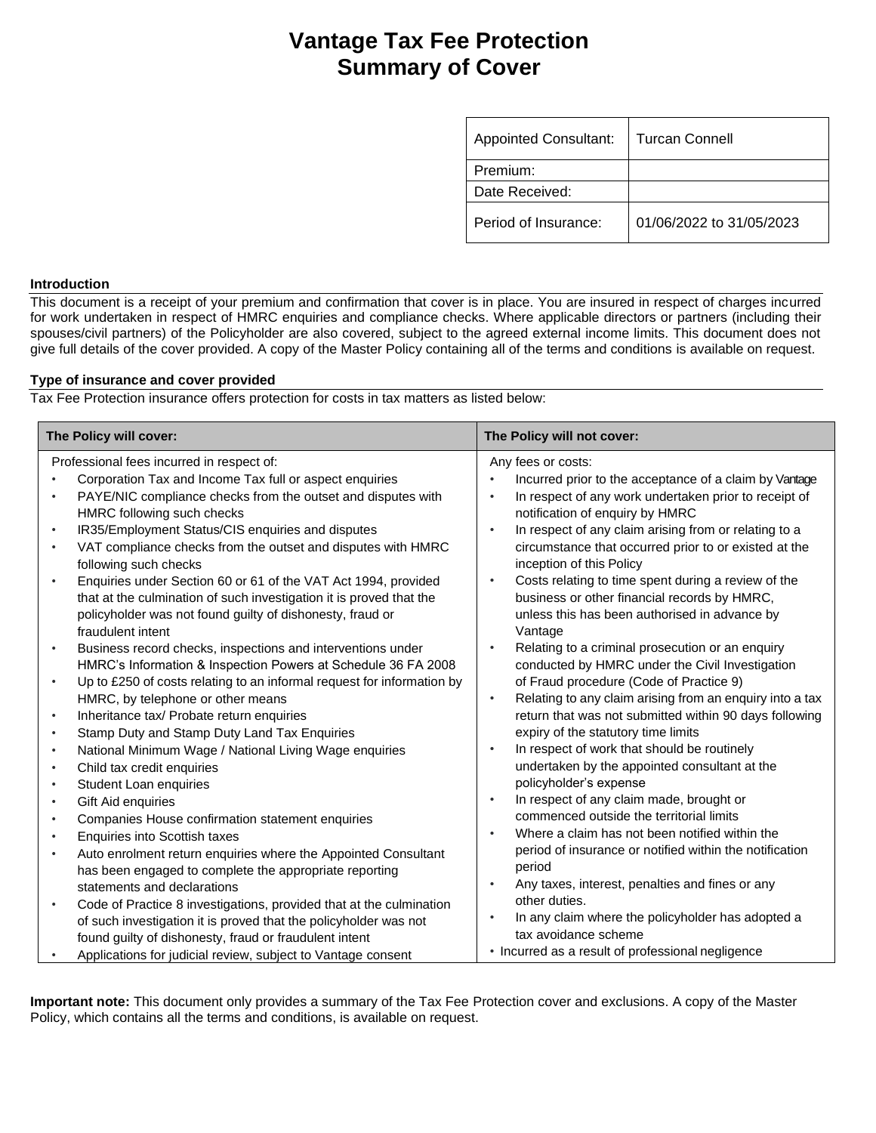# **Vantage Tax Fee Protection Summary of Cover**

| <b>Appointed Consultant:</b> | l Turcan Connell         |
|------------------------------|--------------------------|
| Premium:                     |                          |
| Date Received:               |                          |
| Period of Insurance:         | 01/06/2022 to 31/05/2023 |

#### **Introduction**

This document is a receipt of your premium and confirmation that cover is in place. You are insured in respect of charges incurred for work undertaken in respect of HMRC enquiries and compliance checks. Where applicable directors or partners (including their spouses/civil partners) of the Policyholder are also covered, subject to the agreed external income limits. This document does not give full details of the cover provided. A copy of the Master Policy containing all of the terms and conditions is available on request.

## **Type of insurance and cover provided**

Tax Fee Protection insurance offers protection for costs in tax matters as listed below:

| The Policy will cover:                                                                                                                                                                                                                                                                                                                                                                               | The Policy will not cover:                                                                                                                                                                                                                                                                                             |
|------------------------------------------------------------------------------------------------------------------------------------------------------------------------------------------------------------------------------------------------------------------------------------------------------------------------------------------------------------------------------------------------------|------------------------------------------------------------------------------------------------------------------------------------------------------------------------------------------------------------------------------------------------------------------------------------------------------------------------|
| Professional fees incurred in respect of:<br>Corporation Tax and Income Tax full or aspect enquiries<br>$\bullet$<br>PAYE/NIC compliance checks from the outset and disputes with<br>$\bullet$<br>HMRC following such checks<br>IR35/Employment Status/CIS enquiries and disputes<br>$\bullet$<br>VAT compliance checks from the outset and disputes with HMRC<br>$\bullet$<br>following such checks | Any fees or costs:<br>Incurred prior to the acceptance of a claim by Vantage<br>In respect of any work undertaken prior to receipt of<br>notification of enquiry by HMRC<br>In respect of any claim arising from or relating to a<br>circumstance that occurred prior to or existed at the<br>inception of this Policy |
| Enquiries under Section 60 or 61 of the VAT Act 1994, provided<br>$\bullet$<br>that at the culmination of such investigation it is proved that the<br>policyholder was not found guilty of dishonesty, fraud or<br>fraudulent intent                                                                                                                                                                 | Costs relating to time spent during a review of the<br>business or other financial records by HMRC,<br>unless this has been authorised in advance by<br>Vantage                                                                                                                                                        |
| Business record checks, inspections and interventions under<br>$\bullet$<br>HMRC's Information & Inspection Powers at Schedule 36 FA 2008                                                                                                                                                                                                                                                            | Relating to a criminal prosecution or an enquiry<br>conducted by HMRC under the Civil Investigation                                                                                                                                                                                                                    |
| Up to £250 of costs relating to an informal request for information by<br>$\bullet$<br>HMRC, by telephone or other means                                                                                                                                                                                                                                                                             | of Fraud procedure (Code of Practice 9)<br>Relating to any claim arising from an enquiry into a tax<br>$\bullet$                                                                                                                                                                                                       |
| Inheritance tax/ Probate return enquiries<br>$\bullet$<br>Stamp Duty and Stamp Duty Land Tax Enquiries<br>$\bullet$                                                                                                                                                                                                                                                                                  | return that was not submitted within 90 days following<br>expiry of the statutory time limits                                                                                                                                                                                                                          |
| National Minimum Wage / National Living Wage enquiries<br>$\bullet$<br>Child tax credit enquiries<br>$\bullet$                                                                                                                                                                                                                                                                                       | In respect of work that should be routinely<br>undertaken by the appointed consultant at the                                                                                                                                                                                                                           |
| Student Loan enquiries<br>$\bullet$                                                                                                                                                                                                                                                                                                                                                                  | policyholder's expense                                                                                                                                                                                                                                                                                                 |
| Gift Aid enquiries<br>$\bullet$<br>Companies House confirmation statement enquiries<br>$\bullet$                                                                                                                                                                                                                                                                                                     | In respect of any claim made, brought or<br>commenced outside the territorial limits                                                                                                                                                                                                                                   |
| Enquiries into Scottish taxes<br>$\bullet$                                                                                                                                                                                                                                                                                                                                                           | Where a claim has not been notified within the<br>٠<br>period of insurance or notified within the notification                                                                                                                                                                                                         |
| Auto enrolment return enquiries where the Appointed Consultant<br>٠<br>has been engaged to complete the appropriate reporting<br>statements and declarations                                                                                                                                                                                                                                         | period<br>Any taxes, interest, penalties and fines or any<br>$\bullet$                                                                                                                                                                                                                                                 |
| Code of Practice 8 investigations, provided that at the culmination<br>$\bullet$<br>of such investigation it is proved that the policyholder was not<br>found guilty of dishonesty, fraud or fraudulent intent                                                                                                                                                                                       | other duties.<br>In any claim where the policyholder has adopted a<br>tax avoidance scheme                                                                                                                                                                                                                             |
| Applications for judicial review, subject to Vantage consent                                                                                                                                                                                                                                                                                                                                         | • Incurred as a result of professional negligence                                                                                                                                                                                                                                                                      |

**Important note:** This document only provides a summary of the Tax Fee Protection cover and exclusions. A copy of the Master Policy, which contains all the terms and conditions, is available on request.